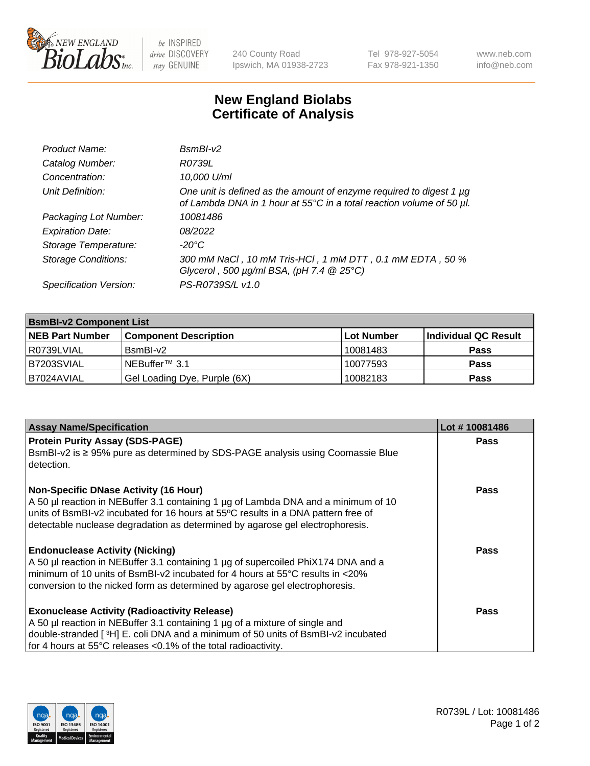

 $be$  INSPIRED drive DISCOVERY stay GENUINE

240 County Road Ipswich, MA 01938-2723 Tel 978-927-5054 Fax 978-921-1350 www.neb.com info@neb.com

## **New England Biolabs Certificate of Analysis**

| Product Name:              | $BsmBI-v2$                                                                                                                                       |
|----------------------------|--------------------------------------------------------------------------------------------------------------------------------------------------|
| Catalog Number:            | R0739L                                                                                                                                           |
| Concentration:             | 10,000 U/ml                                                                                                                                      |
| Unit Definition:           | One unit is defined as the amount of enzyme required to digest 1 $\mu$ g<br>of Lambda DNA in 1 hour at 55°C in a total reaction volume of 50 µl. |
| Packaging Lot Number:      | 10081486                                                                                                                                         |
| <b>Expiration Date:</b>    | 08/2022                                                                                                                                          |
| Storage Temperature:       | $-20^{\circ}$ C                                                                                                                                  |
| <b>Storage Conditions:</b> | 300 mM NaCl, 10 mM Tris-HCl, 1 mM DTT, 0.1 mM EDTA, 50 %<br>Glycerol, 500 $\mu$ g/ml BSA, (pH 7.4 $@25°C$ )                                      |
| Specification Version:     | PS-R0739S/L v1.0                                                                                                                                 |

| <b>BsmBI-v2 Component List</b> |                              |            |                      |  |  |
|--------------------------------|------------------------------|------------|----------------------|--|--|
| <b>NEB Part Number</b>         | <b>Component Description</b> | Lot Number | Individual QC Result |  |  |
| I R0739LVIAL                   | BsmBI-v2                     | 10081483   | <b>Pass</b>          |  |  |
| B7203SVIAL                     | INEBuffer™ 3.1               | 10077593   | <b>Pass</b>          |  |  |
| IB7024AVIAL                    | Gel Loading Dye, Purple (6X) | 10082183   | <b>Pass</b>          |  |  |

| <b>Assay Name/Specification</b>                                                                                                                                                                                                                                                                          | Lot #10081486 |
|----------------------------------------------------------------------------------------------------------------------------------------------------------------------------------------------------------------------------------------------------------------------------------------------------------|---------------|
| <b>Protein Purity Assay (SDS-PAGE)</b><br>BsmBI-v2 is ≥ 95% pure as determined by SDS-PAGE analysis using Coomassie Blue<br>detection.                                                                                                                                                                   | <b>Pass</b>   |
| <b>Non-Specific DNase Activity (16 Hour)</b><br>A 50 µl reaction in NEBuffer 3.1 containing 1 µg of Lambda DNA and a minimum of 10<br>units of BsmBI-v2 incubated for 16 hours at 55°C results in a DNA pattern free of<br>detectable nuclease degradation as determined by agarose gel electrophoresis. | Pass          |
| <b>Endonuclease Activity (Nicking)</b><br>A 50 µl reaction in NEBuffer 3.1 containing 1 µg of supercoiled PhiX174 DNA and a<br>minimum of 10 units of BsmBI-v2 incubated for 4 hours at 55°C results in <20%<br>conversion to the nicked form as determined by agarose gel electrophoresis.              | Pass          |
| <b>Exonuclease Activity (Radioactivity Release)</b><br>A 50 µl reaction in NEBuffer 3.1 containing 1 µg of a mixture of single and<br>double-stranded [3H] E. coli DNA and a minimum of 50 units of BsmBI-v2 incubated<br>for 4 hours at 55°C releases < 0.1% of the total radioactivity.                | Pass          |